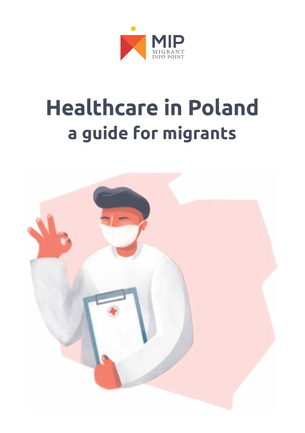

# **Healthcare in Poland a guide for migrants**

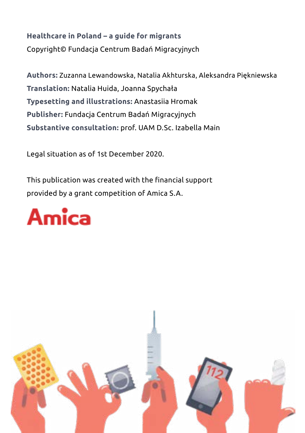### **Healthcare in Poland – a guide for migrants** Copyright© Fundacja Centrum Badań Migracyjnych

**Authors:** Zuzanna Lewandowska, Natalia Akhturska, Aleksandra Piękniewska **Translation:** Natalia Huida, Joanna Spychała **Typesetting and illustrations:** Anastasiia Hromak **Publisher:** Fundacja Centrum Badań Migracyjnych **Substantive consultation:** prof. UAM D.Sc. Izabella Main

Legal situation as of 1st December 2020.

This publication was created with the financial support provided by a grant competition of Amica S.A.



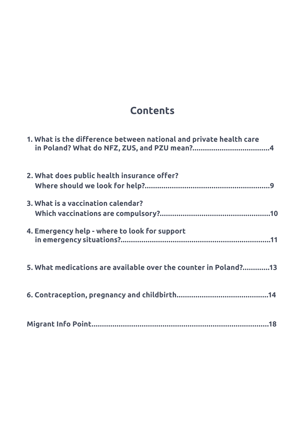### **Contents**

| 1. What is the difference between national and private health care |
|--------------------------------------------------------------------|
| 2. What does public health insurance offer?                        |
| 3. What is a vaccination calendar?                                 |
| 4. Emergency help - where to look for support                      |
| 5. What medications are available over the counter in Poland?13    |
|                                                                    |
|                                                                    |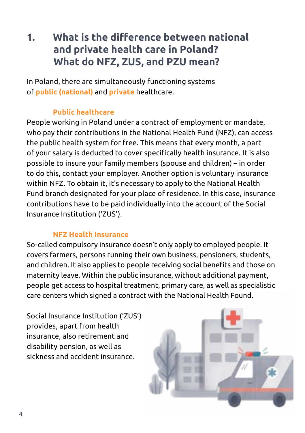### **1. What is the difference between national and private health care in Poland? What do NFZ, ZUS, and PZU mean?**

In Poland, there are simultaneously functioning systems of **public (national)** and **private** healthcare.

### **Public healthcare**

People working in Poland under a contract of employment or mandate, who pay their contributions in the National Health Fund (NFZ), can access the public health system for free. This means that every month, a part of your salary is deducted to cover specifically health insurance. It is also possible to insure your family members (spouse and children) – in order to do this, contact your employer. Another option is voluntary insurance within NFZ. To obtain it, it's necessary to apply to the National Health Fund branch designated for your place of residence. In this case, insurance contributions have to be paid individually into the account of the Social Insurance Institution ('ZUS').

#### **NFZ Health Insurance**

So-called compulsory insurance doesn't only apply to employed people. It covers farmers, persons running their own business, pensioners, students, and children. It also applies to people receiving social benefits and those on maternity leave. Within the public insurance, without additional payment, people get access to hospital treatment, primary care, as well as specialistic care centers which signed a contract with the National Health Found.

Social Insurance Institution ('ZUS') provides, apart from health insurance, also retirement and disability pension, as well as sickness and accident insurance.

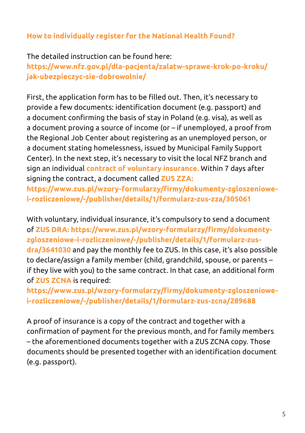### **How to individually register for the National Health Found?**

The detailed instruction can be found here:

**https://www.nfz.gov.pl/dla-pacjenta/zalatw-sprawe-krok-po-kroku/ jak-ubezpieczyc-sie-dobrowolnie/**

First, the application form has to be filled out. Then, it's necessary to provide a few documents: identification document (e.g. passport) and a document confirming the basis of stay in Poland (e.g. visa), as well as a document proving a source of income (or – if unemployed, a proof from the Regional Job Center about registering as an unemployed person, or a document stating homelessness, issued by Municipal Family Support Center). In the next step, it's necessary to visit the local NFZ branch and sign an individual **contract of voluntary insurance.** Within 7 days after signing the contract, a document called **ZUS ZZA:**

**https://www.zus.pl/wzory-formularzy/firmy/dokumenty-zgloszeniowei-rozliczeniowe/-/publisher/details/1/formularz-zus-zza/305061**

With voluntary, individual insurance, it's compulsory to send a document of **ZUS DRA: https://www.zus.pl/wzory-formularzy/firmy/dokumentyzgloszeniowe-i-rozliczeniowe/-/publisher/details/1/formularz-zusdra/3641030** and pay the monthly fee to ZUS. In this case, it's also possible to declare/assign a family member (child, grandchild, spouse, or parents – if they live with you) to the same contract. In that case, an additional form of **ZUS ZCNA** is required:

**https://www.zus.pl/wzory-formularzy/firmy/dokumenty-zgloszeniowei-rozliczeniowe/-/publisher/details/1/formularz-zus-zcna/289688**

A proof of insurance is a copy of the contract and together with a confirmation of payment for the previous month, and for family members – the aforementioned documents together with a ZUS ZCNA copy. Those documents should be presented together with an identification document (e.g. passport).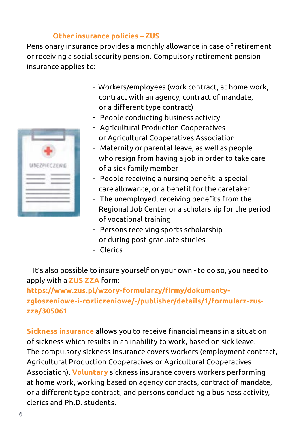#### **Other insurance policies – ZUS**

Pensionary insurance provides a monthly allowance in case of retirement or receiving a social security pension. Compulsory retirement pension insurance applies to:



- Workers/employees (work contract, at home work, contract with an agency, contract of mandate, or a different type contract)
- People conducting business activity
- Agricultural Production Cooperatives or Agricultural Cooperatives Association
- Maternity or parental leave, as well as people who resign from having a job in order to take care of a sick family member
- People receiving a nursing benefit, a special care allowance, or a benefit for the caretaker
- The unemployed, receiving benefits from the Regional Job Center or a scholarship for the period of vocational training
- Persons receiving sports scholarship or during post-graduate studies
- Clerics

It's also possible to insure yourself on your own - to do so, you need to apply with a **ZUS ZZA** form:

**https://www.zus.pl/wzory-formularzy/firmy/dokumentyzgloszeniowe-i-rozliczeniowe/-/publisher/details/1/formularz-zuszza/305061** 

**Sickness insurance** allows you to receive financial means in a situation of sickness which results in an inability to work, based on sick leave. The compulsory sickness insurance covers workers (employment contract, Agricultural Production Cooperatives or Agricultural Cooperatives Association). **Voluntary** sickness insurance covers workers performing at home work, working based on agency contracts, contract of mandate, or a different type contract, and persons conducting a business activity, clerics and Ph.D. students.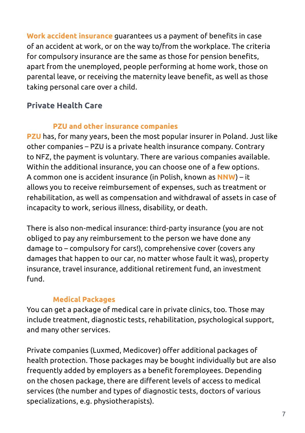**Work accident insurance** guarantees us a payment of benefits in case of an accident at work, or on the way to/from the workplace. The criteria for compulsory insurance are the same as those for pension benefits, apart from the unemployed, people performing at home work, those on parental leave, or receiving the maternity leave benefit, as well as those taking personal care over a child.

### **Private Health Care**

### **PZU and other insurance companies**

**PZU** has, for many years, been the most popular insurer in Poland. Just like other companies – PZU is a private health insurance company. Contrary to NFZ, the payment is voluntary. There are various companies available. Within the additional insurance, you can choose one of a few options. A common one is accident insurance (in Polish, known as **NNW**) – it allows you to receive reimbursement of expenses, such as treatment or rehabilitation, as well as compensation and withdrawal of assets in case of incapacity to work, serious illness, disability, or death.

There is also non-medical insurance: third-party insurance (you are not obliged to pay any reimbursement to the person we have done any damage to – compulsory for cars!), comprehensive cover (covers any damages that happen to our car, no matter whose fault it was), property insurance, travel insurance, additional retirement fund, an investment fund.

### **Medical Packages**

You can get a package of medical care in private clinics, too. Those may include treatment, diagnostic tests, rehabilitation, psychological support, and many other services.

Private companies (Luxmed, Medicover) offer additional packages of health protection. Those packages may be bought individually but are also frequently added by employers as a benefit foremployees. Depending on the chosen package, there are different levels of access to medical services (the number and types of diagnostic tests, doctors of various specializations, e.g. physiotherapists).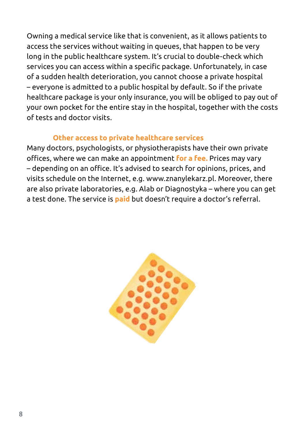Owning a medical service like that is convenient, as it allows patients to access the services without waiting in queues, that happen to be very long in the public healthcare system. It's crucial to double-check which services you can access within a specific package. Unfortunately, in case of a sudden health deterioration, you cannot choose a private hospital – everyone is admitted to a public hospital by default. So if the private healthcare package is your only insurance, you will be obliged to pay out of your own pocket for the entire stay in the hospital, together with the costs of tests and doctor visits.

#### **Other access to private healthcare services**

Many doctors, psychologists, or physiotherapists have their own private offices, where we can make an appointment **for a fee.** Prices may vary – depending on an office. It's advised to search for opinions, prices, and visits schedule on the Internet, e.g. www.znanylekarz.pl. Moreover, there are also private laboratories, e.g. Alab or Diagnostyka – where you can get a test done. The service is **paid** but doesn't require a doctor's referral.

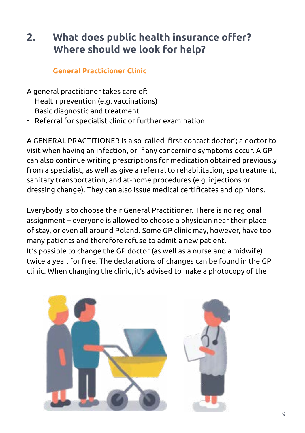## **2. What does public health insurance offer? Where should we look for help?**

### **General Practicioner Clinic**

A general practitioner takes care of:

- Health prevention (e.g. vaccinations)
- Basic diagnostic and treatment
- Referral for specialist clinic or further examination

A GENERAL PRACTITIONER is a so-called 'first-contact doctor'; a doctor to visit when having an infection, or if any concerning symptoms occur. A GP can also continue writing prescriptions for medication obtained previously from a specialist, as well as give a referral to rehabilitation, spa treatment, sanitary transportation, and at-home procedures (e.g. injections or dressing change). They can also issue medical certificates and opinions.

Everybody is to choose their General Practitioner. There is no regional assignment – everyone is allowed to choose a physician near their place of stay, or even all around Poland. Some GP clinic may, however, have too many patients and therefore refuse to admit a new patient. It's possible to change the GP doctor (as well as a nurse and a midwife)

twice a year, for free. The declarations of changes can be found in the GP clinic. When changing the clinic, it's advised to make a photocopy of the

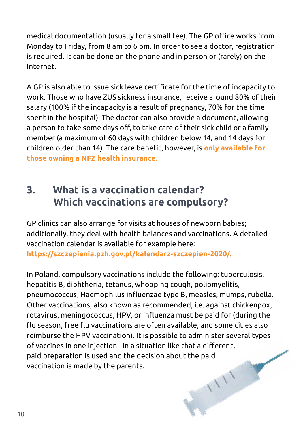medical documentation (usually for a small fee). The GP office works from Monday to Friday, from 8 am to 6 pm. In order to see a doctor, registration is required. It can be done on the phone and in person or (rarely) on the Internet.

A GP is also able to issue sick leave certificate for the time of incapacity to work. Those who have ZUS sickness insurance, receive around 80% of their salary (100% if the incapacity is a result of pregnancy, 70% for the time spent in the hospital). The doctor can also provide a document, allowing a person to take some days off, to take care of their sick child or a family member (a maximum of 60 days with children below 14, and 14 days for children older than 14). The care benefit, however, is **only available for those owning a NFZ health insurance.** 

### **3. What is a vaccination calendar? Which vaccinations are compulsory?**

GP clinics can also arrange for visits at houses of newborn babies; additionally, they deal with health balances and vaccinations. A detailed vaccination calendar is available for example here: **https://szczepienia.pzh.gov.pl/kalendarz-szczepien-2020/.**

In Poland, compulsory vaccinations include the following: tuberculosis, hepatitis B, diphtheria, tetanus, whooping cough, poliomyelitis, pneumococcus, Haemophilus influenzae type B, measles, mumps, rubella. Other vaccinations, also known as recommended, i.e. against chickenpox, rotavirus, meningococcus, HPV, or influenza must be paid for (during the flu season, free flu vaccinations are often available, and some cities also reimburse the HPV vaccination). It is possible to administer several types of vaccines in one injection - in a situation like that a different, ╱ paid preparation is used and the decision about the paid vaccination is made by the parents.TITT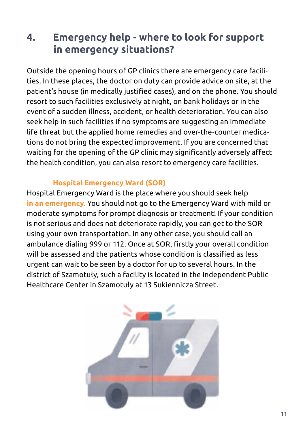### **4. Emergency help - where to look for support in emergency situations?**

Outside the opening hours of GP clinics there are emergency care facilities. In these places, the doctor on duty can provide advice on site, at the patient's house (in medically justified cases), and on the phone. You should resort to such facilities exclusively at night, on bank holidays or in the event of a sudden illness, accident, or health deterioration. You can also seek help in such facilities if no symptoms are suggesting an immediate life threat but the applied home remedies and over-the-counter medications do not bring the expected improvement. If you are concerned that waiting for the opening of the GP clinic may significantly adversely affect the health condition, you can also resort to emergency care facilities.

#### **Hospital Emergency Ward (SOR)**

Hospital Emergency Ward is the place where you should seek help **in an emergency.** You should not go to the Emergency Ward with mild or moderate symptoms for prompt diagnosis or treatment! If your condition is not serious and does not deteriorate rapidly, you can get to the SOR using your own transportation. In any other case, you should call an ambulance dialing 999 or 112. Once at SOR, firstly your overall condition will be assessed and the patients whose condition is classified as less urgent can wait to be seen by a doctor for up to several hours. In the district of Szamotuły, such a facility is located in the Independent Public Healthcare Center in Szamotuły at 13 Sukiennicza Street.

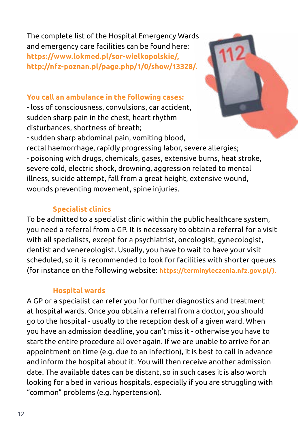The complete list of the Hospital Emergency Wards and emergency care facilities can be found here: **https://www.lokmed.pl/sor-wielkopolskie/, http://nfz-poznan.pl/page.php/1/0/show/13328/.**

#### **You call an ambulance in the following cases:**

- loss of consciousness, convulsions, car accident, sudden sharp pain in the chest, heart rhythm disturbances, shortness of breath;



- sudden sharp abdominal pain, vomiting blood, rectal haemorrhage, rapidly progressing labor, severe allergies; - poisoning with drugs, chemicals, gases, extensive burns, heat stroke, severe cold, electric shock, drowning, aggression related to mental illness, suicide attempt, fall from a great height, extensive wound, wounds preventing movement, spine injuries.

#### **Specialist clinics**

To be admitted to a specialist clinic within the public healthcare system, you need a referral from a GP. It is necessary to obtain a referral for a visit with all specialists, except for a psychiatrist, oncologist, gynecologist, dentist and venereologist. Usually, you have to wait to have your visit scheduled, so it is recommended to look for facilities with shorter queues (for instance on the following website: **https://terminyleczenia.nfz.gov.pl/).**

#### **Hospital wards**

A GP or a specialist can refer you for further diagnostics and treatment at hospital wards. Once you obtain a referral from a doctor, you should go to the hospital - usually to the reception desk of a given ward. When you have an admission deadline, you can't miss it - otherwise you have to start the entire procedure all over again. If we are unable to arrive for an appointment on time (e.g. due to an infection), it is best to call in advance and inform the hospital about it. You will then receive another admission date. The available dates can be distant, so in such cases it is also worth looking for a bed in various hospitals, especially if you are struggling with "common" problems (e.g. hypertension).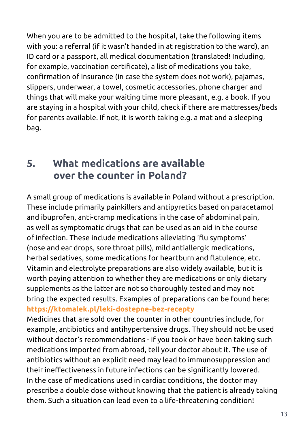When you are to be admitted to the hospital, take the following items with you: a referral (if it wasn't handed in at registration to the ward), an ID card or a passport, all medical documentation (translated! Including, for example, vaccination certificate), a list of medications you take, confirmation of insurance (in case the system does not work), pajamas, slippers, underwear, a towel, cosmetic accessories, phone charger and things that will make your waiting time more pleasant, e.g. a book. If you are staying in a hospital with your child, check if there are mattresses/beds for parents available. If not, it is worth taking e.g. a mat and a sleeping bag.

### **5. What medications are available over the counter in Poland?**

A small group of medications is available in Poland without a prescription. These include primarily painkillers and antipyretics based on paracetamol and ibuprofen, anti-cramp medications in the case of abdominal pain, as well as symptomatic drugs that can be used as an aid in the course of infection. These include medications alleviating 'flu symptoms' (nose and ear drops, sore throat pills), mild antiallergic medications, herbal sedatives, some medications for heartburn and flatulence, etc. Vitamin and electrolyte preparations are also widely available, but it is worth paying attention to whether they are medications or only dietary supplements as the latter are not so thoroughly tested and may not bring the expected results. Examples of preparations can be found here: **https://ktomalek.pl/leki-dostepne-bez-recepty** 

Medicines that are sold over the counter in other countries include, for example, antibiotics and antihypertensive drugs. They should not be used without doctor's recommendations - if you took or have been taking such medications imported from abroad, tell your doctor about it. The use of antibiotics without an explicit need may lead to immunosuppression and their ineffectiveness in future infections can be significantly lowered. In the case of medications used in cardiac conditions, the doctor may prescribe a double dose without knowing that the patient is already taking them. Such a situation can lead even to a life-threatening condition!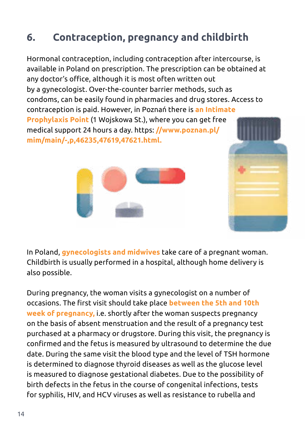# **6. Contraception, pregnancy and childbirth**

Hormonal contraception, including contraception after intercourse, is available in Poland on prescription. The prescription can be obtained at any doctor's office, although it is most often written out by a gynecologist. Over-the-counter barrier methods, such as condoms, can be easily found in pharmacies and drug stores. Access to contraception is paid. However, in Poznań there is **an Intimate Prophylaxis Point** (1 Wojskowa St.), where you can get free medical support 24 hours a day. https: **//www.poznan.pl/ mim/main/-,p,46235,47619,47621.html.** 





In Poland, **gynecologists and midwives** take care of a pregnant woman. Childbirth is usually performed in a hospital, although home delivery is also possible.

During pregnancy, the woman visits a gynecologist on a number of occasions. The first visit should take place **between the 5th and 10th week of pregnancy,** i.e. shortly after the woman suspects pregnancy on the basis of absent menstruation and the result of a pregnancy test purchased at a pharmacy or drugstore. During this visit, the pregnancy is confirmed and the fetus is measured by ultrasound to determine the due date. During the same visit the blood type and the level of TSH hormone is determined to diagnose thyroid diseases as well as the glucose level is measured to diagnose gestational diabetes. Due to the possibility of birth defects in the fetus in the course of congenital infections, tests for syphilis, HIV, and HCV viruses as well as resistance to rubella and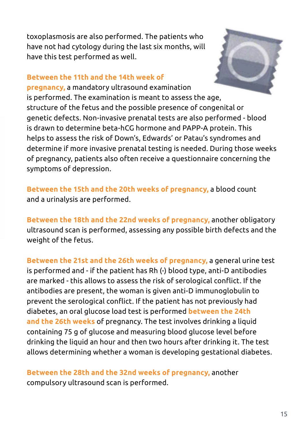toxoplasmosis are also performed. The patients who have not had cytology during the last six months, will have this test performed as well.

### **Between the 11th and the 14th week of**



**pregnancy,** a mandatory ultrasound examination is performed. The examination is meant to assess the age, structure of the fetus and the possible presence of congenital or genetic defects. Non-invasive prenatal tests are also performed - blood is drawn to determine beta-hCG hormone and PAPP-A protein. This helps to assess the risk of Down's, Edwards' or Patau's syndromes and determine if more invasive prenatal testing is needed. During those weeks of pregnancy, patients also often receive a questionnaire concerning the symptoms of depression.

**Between the 15th and the 20th weeks of pregnancy,** a blood count and a urinalysis are performed.

**Between the 18th and the 22nd weeks of pregnancy,** another obligatory ultrasound scan is performed, assessing any possible birth defects and the weight of the fetus.

**Between the 21st and the 26th weeks of pregnancy,** a general urine test is performed and - if the patient has Rh (-) blood type, anti-D antibodies are marked - this allows to assess the risk of serological conflict. If the antibodies are present, the woman is given anti-D immunoglobulin to prevent the serological conflict. If the patient has not previously had diabetes, an oral glucose load test is performed **between the 24th and the 26th weeks** of pregnancy. The test involves drinking a liquid containing 75 g of glucose and measuring blood glucose level before drinking the liquid an hour and then two hours after drinking it. The test allows determining whether a woman is developing gestational diabetes.

**Between the 28th and the 32nd weeks of pregnancy,** another compulsory ultrasound scan is performed.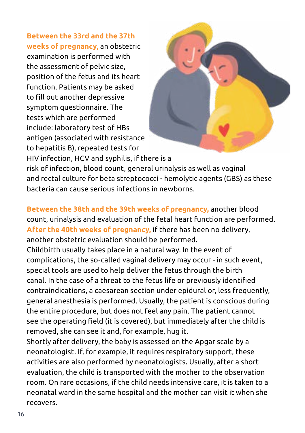**Between the 33rd and the 37th weeks of pregnancy,** an obstetric examination is performed with the assessment of pelvic size, position of the fetus and its heart function. Patients may be asked to fill out another depressive symptom questionnaire. The tests which are performed include: laboratory test of HBs antigen (associated with resistance to hepatitis B), repeated tests for



HIV infection, HCV and syphilis, if there is a risk of infection, blood count, general urinalysis as well as vaginal and rectal culture for beta streptococci - hemolytic agents (GBS) as these bacteria can cause serious infections in newborns.

**Between the 38th and the 39th weeks of pregnancy,** another blood count, urinalysis and evaluation of the fetal heart function are performed. **After the 40th weeks of pregnancy,** if there has been no delivery, another obstetric evaluation should be performed.

Childbirth usually takes place in a natural way. In the event of complications, the so-called vaginal delivery may occur - in such event, special tools are used to help deliver the fetus through the birth canal. In the case of a threat to the fetus life or previously identified contraindications, a caesarean section under epidural or, less frequently, general anesthesia is performed. Usually, the patient is conscious during the entire procedure, but does not feel any pain. The patient cannot see the operating field (it is covered), but immediately after the child is removed, she can see it and, for example, hug it.

Shortly after delivery, the baby is assessed on the Apgar scale by a neonatologist. If, for example, it requires respiratory support, these activities are also performed by neonatologists. Usually, after a short evaluation, the child is transported with the mother to the observation room. On rare occasions, if the child needs intensive care, it is taken to a neonatal ward in the same hospital and the mother can visit it when she recovers.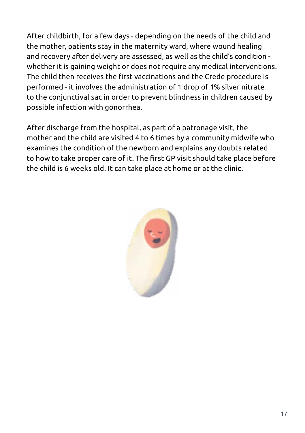After childbirth, for a few days - depending on the needs of the child and the mother, patients stay in the maternity ward, where wound healing and recovery after delivery are assessed, as well as the child's condition whether it is gaining weight or does not require any medical interventions. The child then receives the first vaccinations and the Crede procedure is performed - it involves the administration of 1 drop of 1% silver nitrate to the conjunctival sac in order to prevent blindness in children caused by possible infection with gonorrhea.

After discharge from the hospital, as part of a patronage visit, the mother and the child are visited 4 to 6 times by a community midwife who examines the condition of the newborn and explains any doubts related to how to take proper care of it. The first GP visit should take place before the child is 6 weeks old. It can take place at home or at the clinic.

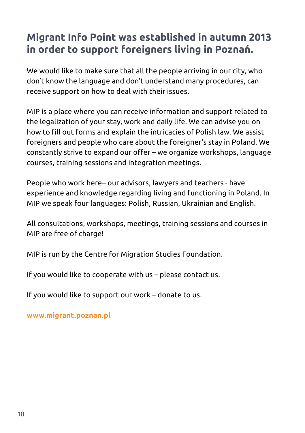## **Migrant Info Point was established in autumn 2013 in order to support foreigners living in Poznań.**

We would like to make sure that all the people arriving in our city, who don't know the language and don't understand many procedures, can receive support on how to deal with their issues.

MIP is a place where you can receive information and support related to the legalization of your stay, work and daily life. We can advise you on how to fill out forms and explain the intricacies of Polish law. We assist foreigners and people who care about the foreigner's stay in Poland. We constantly strive to expand our offer – we organize workshops, language courses, training sessions and integration meetings.

People who work here– our advisors, lawyers and teachers - have experience and knowledge regarding living and functioning in Poland. In MIP we speak four languages: Polish, Russian, Ukrainian and English.

All consultations, workshops, meetings, training sessions and courses in MIP are free of charge!

MIP is run by the Centre for Migration Studies Foundation.

If you would like to cooperate with us – please contact us.

If you would like to support our work – donate to us.

**www.migrant.poznan.pl**